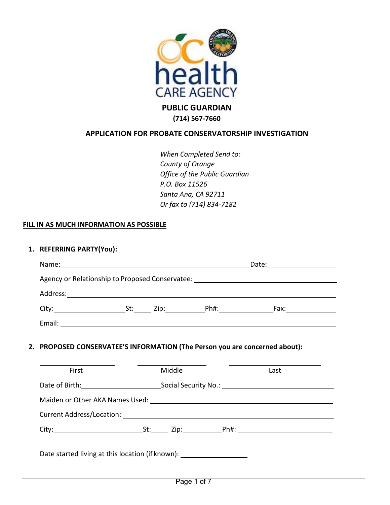

**(714) 567-7660**

### **APPLICATION FOR PROBATE CONSERVATORSHIP INVESTIGATION**

*When Completed Send to: County of Orange Office of the Public Guardian P.O. Box 11526 Santa Ana, CA 92711 Or fax to (714) 834-7182*

### **FILL IN AS MUCH INFORMATION AS POSSIBLE**

#### **1. REFERRING PARTY(You):**

|                                                                                  | Agency or Relationship to Proposed Conservatee: ________________________________ |        |  |                                                                                                                                                                                                                                      |
|----------------------------------------------------------------------------------|----------------------------------------------------------------------------------|--------|--|--------------------------------------------------------------------------------------------------------------------------------------------------------------------------------------------------------------------------------------|
|                                                                                  |                                                                                  |        |  |                                                                                                                                                                                                                                      |
|                                                                                  |                                                                                  |        |  |                                                                                                                                                                                                                                      |
|                                                                                  |                                                                                  |        |  |                                                                                                                                                                                                                                      |
| 2. PROPOSED CONSERVATEE'S INFORMATION (The Person you are concerned about):      |                                                                                  |        |  | <u> 1980 - An Aonaichte ann an Aonaichte ann an Aonaichte ann an Aonaichte ann an Aonaichte ann an Aonaichte ann an Aonaichte ann an Aonaichte ann an Aonaichte ann an Aonaichte ann an Aonaichte ann an Aonaichte ann an Aonaic</u> |
| First                                                                            |                                                                                  | Middle |  | Last                                                                                                                                                                                                                                 |
|                                                                                  |                                                                                  |        |  | Date of Birth: Social Security No.: Cambridge Contract Contract Contract Contract Contract Contract Contract Co                                                                                                                      |
|                                                                                  |                                                                                  |        |  |                                                                                                                                                                                                                                      |
|                                                                                  |                                                                                  |        |  |                                                                                                                                                                                                                                      |
|                                                                                  |                                                                                  |        |  |                                                                                                                                                                                                                                      |
| Date started living at this location (if known): _______________________________ |                                                                                  |        |  |                                                                                                                                                                                                                                      |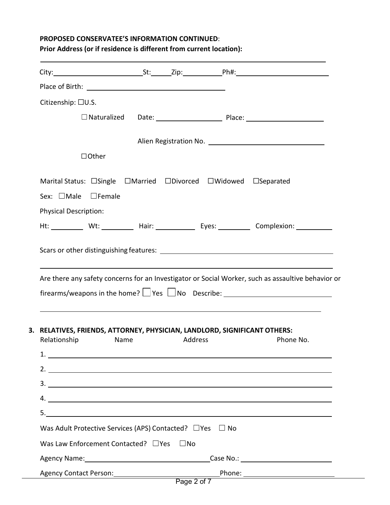# **PROPOSED CONSERVATEE'S INFORMATION CONTINUED**: **Prior Address (or if residence is different from current location):**

| Citizenship: □U.S.                                                                                                                                                                                                                                                                                                                                                                                                  |      |              |  |                                                                                                                                    |
|---------------------------------------------------------------------------------------------------------------------------------------------------------------------------------------------------------------------------------------------------------------------------------------------------------------------------------------------------------------------------------------------------------------------|------|--------------|--|------------------------------------------------------------------------------------------------------------------------------------|
|                                                                                                                                                                                                                                                                                                                                                                                                                     |      |              |  |                                                                                                                                    |
|                                                                                                                                                                                                                                                                                                                                                                                                                     |      |              |  |                                                                                                                                    |
| $\Box$ Other                                                                                                                                                                                                                                                                                                                                                                                                        |      |              |  |                                                                                                                                    |
|                                                                                                                                                                                                                                                                                                                                                                                                                     |      |              |  |                                                                                                                                    |
| Marital Status: □Single □Married □Divorced □Widowed □Separated                                                                                                                                                                                                                                                                                                                                                      |      |              |  |                                                                                                                                    |
| Sex: $\Box$ Male $\Box$ Female                                                                                                                                                                                                                                                                                                                                                                                      |      |              |  |                                                                                                                                    |
| <b>Physical Description:</b>                                                                                                                                                                                                                                                                                                                                                                                        |      |              |  |                                                                                                                                    |
|                                                                                                                                                                                                                                                                                                                                                                                                                     |      |              |  | Ht: ___________ Wt: ___________ Hair: ______________ Eyes: ___________ Complexion: ____________                                    |
| Are there any safety concerns for an Investigator or Social Worker, such as assaultive behavior or<br>firearms/weapons in the home? $\Box$ Yes $\Box$ No Describe: ________________________                                                                                                                                                                                                                         |      |              |  |                                                                                                                                    |
| 3. RELATIVES, FRIENDS, ATTORNEY, PHYSICIAN, LANDLORD, SIGNIFICANT OTHERS:<br>Relationship<br>2. $\frac{1}{2}$ $\frac{1}{2}$ $\frac{1}{2}$ $\frac{1}{2}$ $\frac{1}{2}$ $\frac{1}{2}$ $\frac{1}{2}$ $\frac{1}{2}$ $\frac{1}{2}$ $\frac{1}{2}$ $\frac{1}{2}$ $\frac{1}{2}$ $\frac{1}{2}$ $\frac{1}{2}$ $\frac{1}{2}$ $\frac{1}{2}$ $\frac{1}{2}$ $\frac{1}{2}$ $\frac{1}{2}$ $\frac{1}{2}$ $\frac{1}{2}$ $\frac{1}{2}$ | Name | Address      |  | <u> 1989 - Johann Stoff, deutscher Stoff, der Stoff, der Stoff, der Stoff, der Stoff, der Stoff, der Stoff, der S</u><br>Phone No. |
| $3.$ $\overline{\phantom{a}}$                                                                                                                                                                                                                                                                                                                                                                                       |      |              |  |                                                                                                                                    |
| 4.                                                                                                                                                                                                                                                                                                                                                                                                                  |      |              |  |                                                                                                                                    |
|                                                                                                                                                                                                                                                                                                                                                                                                                     |      |              |  |                                                                                                                                    |
| Was Adult Protective Services (APS) Contacted? $\Box$ Yes $\Box$ No                                                                                                                                                                                                                                                                                                                                                 |      |              |  |                                                                                                                                    |
| Was Law Enforcement Contacted? □ Yes                                                                                                                                                                                                                                                                                                                                                                                |      | $\square$ No |  |                                                                                                                                    |
|                                                                                                                                                                                                                                                                                                                                                                                                                     |      |              |  | Agency Name: 1990 Case No.: 2008 Case No.: 2008 Case No.: 2008 2014 2014 2020 2030 2040 2050 2050 2060 207 20                      |
|                                                                                                                                                                                                                                                                                                                                                                                                                     |      |              |  |                                                                                                                                    |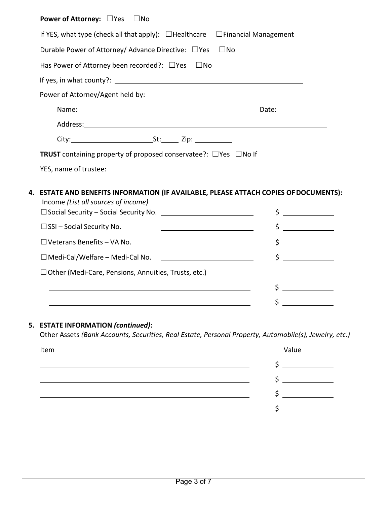| <b>Power of Attorney:</b> □Yes<br>$\square$ No                                                                                                                                                                                 |                                                                                                                                                                                                                                |  |  |
|--------------------------------------------------------------------------------------------------------------------------------------------------------------------------------------------------------------------------------|--------------------------------------------------------------------------------------------------------------------------------------------------------------------------------------------------------------------------------|--|--|
| If YES, what type (check all that apply): $\Box$ Healthcare<br>$\Box$ Financial Management                                                                                                                                     |                                                                                                                                                                                                                                |  |  |
| Durable Power of Attorney/ Advance Directive: □ Yes □ No                                                                                                                                                                       |                                                                                                                                                                                                                                |  |  |
| Has Power of Attorney been recorded?: $\Box$ Yes $\Box$ No                                                                                                                                                                     |                                                                                                                                                                                                                                |  |  |
|                                                                                                                                                                                                                                |                                                                                                                                                                                                                                |  |  |
| Power of Attorney/Agent held by:                                                                                                                                                                                               |                                                                                                                                                                                                                                |  |  |
|                                                                                                                                                                                                                                | Date: the contract of the contract of the contract of the contract of the contract of the contract of the contract of the contract of the contract of the contract of the contract of the contract of the contract of the cont |  |  |
|                                                                                                                                                                                                                                |                                                                                                                                                                                                                                |  |  |
|                                                                                                                                                                                                                                |                                                                                                                                                                                                                                |  |  |
| TRUST containing property of proposed conservatee?: □ Yes □ No If                                                                                                                                                              |                                                                                                                                                                                                                                |  |  |
| YES, name of trustee: The contract of the contract of the contract of the contract of the contract of the contract of the contract of the contract of the contract of the contract of the contract of the contract of the cont |                                                                                                                                                                                                                                |  |  |
|                                                                                                                                                                                                                                |                                                                                                                                                                                                                                |  |  |
| 4. ESTATE AND BENEFITS INFORMATION (IF AVAILABLE, PLEASE ATTACH COPIES OF DOCUMENTS):<br>Income (List all sources of income)                                                                                                   |                                                                                                                                                                                                                                |  |  |
| □ Social Security – Social Security No. <u>___________________________</u>                                                                                                                                                     | $\frac{1}{2}$                                                                                                                                                                                                                  |  |  |
| $\square$ SSI – Social Security No.<br><u> 1989 - Johann Barbara, martin a</u>                                                                                                                                                 | <u> a serie de la provincia de la provincia de la provincia de la provincia de la provincia de la provincia de la </u><br>\$                                                                                                   |  |  |
| $\Box$ Veterans Benefits - VA No.<br><u> 1989 - Johann Barn, mars an t-Amerikaansk kommunister (</u>                                                                                                                           | \$                                                                                                                                                                                                                             |  |  |
| $\Box$ Medi-Cal/Welfare – Medi-Cal No.                                                                                                                                                                                         | <u> a shekara ta 1999 a shekara t</u><br>\$                                                                                                                                                                                    |  |  |
| □ Other (Medi-Care, Pensions, Annuities, Trusts, etc.)                                                                                                                                                                         |                                                                                                                                                                                                                                |  |  |
|                                                                                                                                                                                                                                | \$<br><u>a sa salawang pang</u>                                                                                                                                                                                                |  |  |
|                                                                                                                                                                                                                                | \$<br><u> 1990 - Jan Barnett, polit</u> ik                                                                                                                                                                                     |  |  |
|                                                                                                                                                                                                                                |                                                                                                                                                                                                                                |  |  |

# **5. ESTATE INFORMATION** *(continued)***:**

Other Assets *(Bank Accounts, Securities, Real Estate, Personal Property, Automobile(s), Jewelry, etc.)*

| Item | Value |
|------|-------|
|      |       |
|      |       |
|      |       |
|      |       |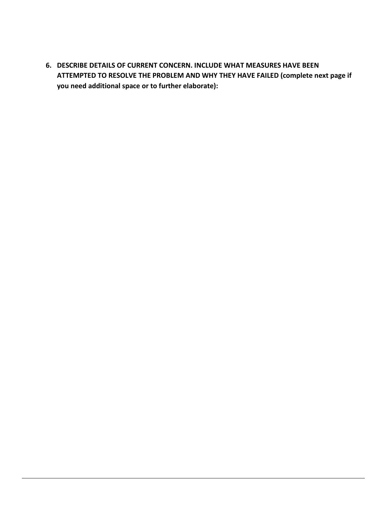**6. DESCRIBE DETAILS OF CURRENT CONCERN. INCLUDE WHAT MEASURES HAVE BEEN ATTEMPTED TO RESOLVE THE PROBLEM AND WHY THEY HAVE FAILED (complete next page if you need additional space or to further elaborate):**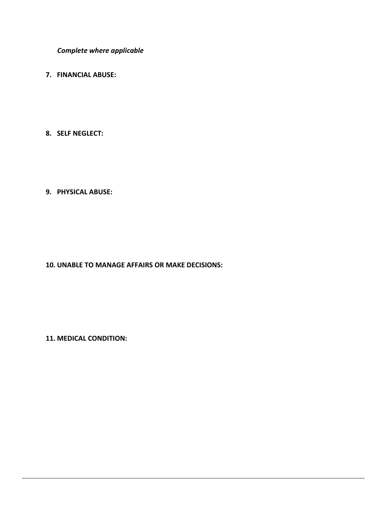*Complete where applicable*

- **7. FINANCIAL ABUSE:**
- **8. SELF NEGLECT:**

### **9. PHYSICAL ABUSE:**

**10. UNABLE TO MANAGE AFFAIRS OR MAKE DECISIONS:**

**11. MEDICAL CONDITION:**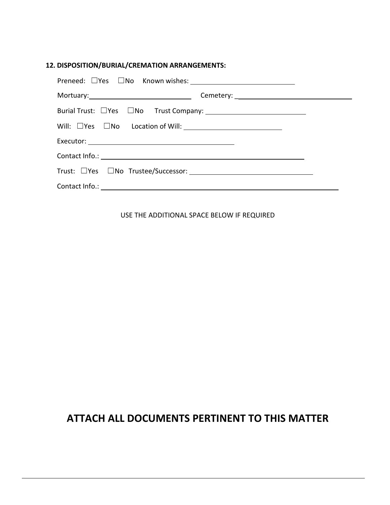### **12. DISPOSITION/BURIAL/CREMATION ARRANGEMENTS:**

|                                                 | Mortuary: Mortuary: Mortuary: Mortuary: Mortuary: Mortuary: Mortuary: Mortuary: Mortuary: Mortuary: Mortuary: Mortua |
|-------------------------------------------------|----------------------------------------------------------------------------------------------------------------------|
| Burial Trust: UYes UNo Trust Company: 1980 1991 |                                                                                                                      |
|                                                 |                                                                                                                      |
|                                                 |                                                                                                                      |
|                                                 |                                                                                                                      |
|                                                 |                                                                                                                      |
|                                                 |                                                                                                                      |

USE THE ADDITIONAL SPACE BELOW IF REQUIRED

# **ATTACH ALL DOCUMENTS PERTINENT TO THIS MATTER**